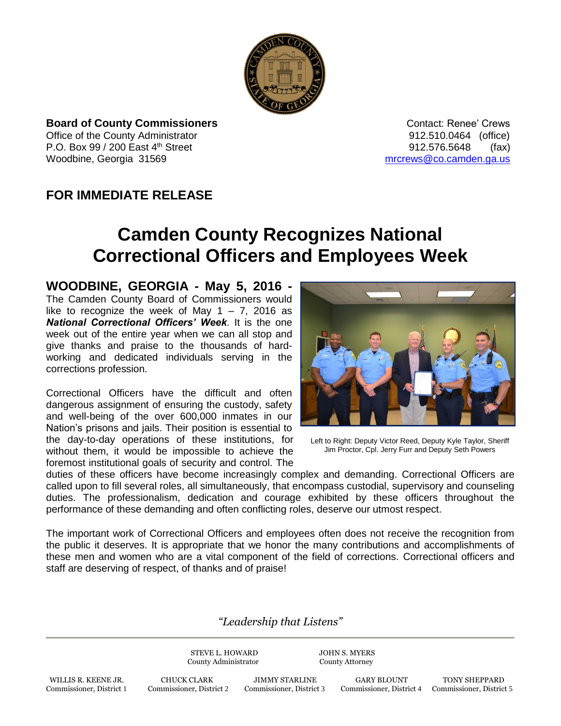

**Board of County Commissioners Contact: Renee' Crews Contact: Renee' Crews** Office of the County Administrator **Connect Administrator 12.510.0464** (office) P.O. Box 99 / 200 East 4<sup>th</sup> Street 912.576.5648 (fax) Woodbine, Georgia 31569 [mrcrews@co.camden.ga.us](mailto:mrcrews@co.camden.ga.us)

## **FOR IMMEDIATE RELEASE**

## **Camden County Recognizes National Correctional Officers and Employees Week**

**WOODBINE, GEORGIA - May 5, 2016 -** The Camden County Board of Commissioners would like to recognize the week of May  $1 - 7$ , 2016 as *National Correctional Officers' Week*. It is the one week out of the entire year when we can all stop and give thanks and praise to the thousands of hardworking and dedicated individuals serving in the corrections profession.

Correctional Officers have the difficult and often dangerous assignment of ensuring the custody, safety and well-being of the over 600,000 inmates in our Nation's prisons and jails. Their position is essential to the day-to-day operations of these institutions, for without them, it would be impossible to achieve the foremost institutional goals of security and control. The



Left to Right: Deputy Victor Reed, Deputy Kyle Taylor, Sheriff Jim Proctor, Cpl. Jerry Furr and Deputy Seth Powers

duties of these officers have become increasingly complex and demanding. Correctional Officers are called upon to fill several roles, all simultaneously, that encompass custodial, supervisory and counseling duties. The professionalism, dedication and courage exhibited by these officers throughout the performance of these demanding and often conflicting roles, deserve our utmost respect.

The important work of Correctional Officers and employees often does not receive the recognition from the public it deserves. It is appropriate that we honor the many contributions and accomplishments of these men and women who are a vital component of the field of corrections. Correctional officers and staff are deserving of respect, of thanks and of praise!

## *"Leadership that Listens"*

STEVE L. HOWARD JOHN S. MYERS County Administrator County Attorney

WILLIS R. KEENE JR. CHUCK CLARK JIMMY STARLINE GARY BLOUNT TONY SHEPPARD

Commissioner, District 4 Commissioner, District 5